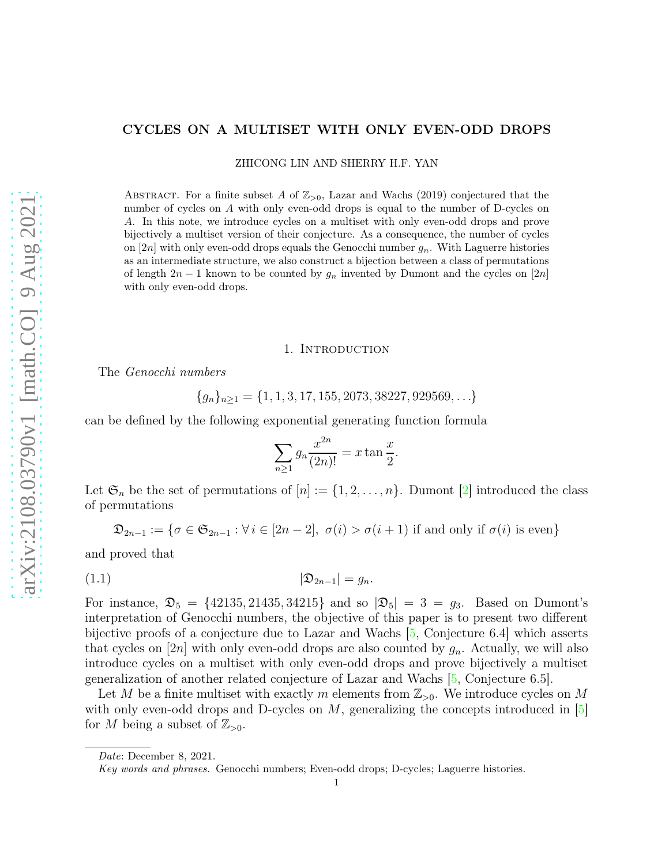## <span id="page-0-1"></span>CYCLES ON A MULTISET WITH ONLY EVEN-ODD DROPS

ZHICONG LIN AND SHERRY H.F. YAN

ABSTRACT. For a finite subset A of  $\mathbb{Z}_{>0}$ , Lazar and Wachs (2019) conjectured that the number of cycles on A with only even-odd drops is equal to the number of D-cycles on A. In this note, we introduce cycles on a multiset with only even-odd drops and prove bijectively a multiset version of their conjecture. As a consequence, the number of cycles on  $|2n|$  with only even-odd drops equals the Genocchi number  $g_n$ . With Laguerre histories as an intermediate structure, we also construct a bijection between a class of permutations of length  $2n-1$  known to be counted by  $g_n$  invented by Dumont and the cycles on  $[2n]$ with only even-odd drops.

### 1. INTRODUCTION

The Genocchi numbers

$$
\{g_n\}_{n\geq 1} = \{1, 1, 3, 17, 155, 2073, 38227, 929569, \ldots\}
$$

can be defined by the following exponential generating function formula

<span id="page-0-0"></span>
$$
\sum_{n\geq 1} g_n \frac{x^{2n}}{(2n)!} = x \tan \frac{x}{2}.
$$

Let  $\mathfrak{S}_n$  be the set of permutations of  $[n] := \{1, 2, \ldots, n\}$ . Dumont [\[2\]](#page-6-0) introduced the class of permutations

$$
\mathfrak{D}_{2n-1} := \{ \sigma \in \mathfrak{S}_{2n-1} : \forall i \in [2n-2], \ \sigma(i) > \sigma(i+1) \text{ if and only if } \sigma(i) \text{ is even} \}
$$

and proved that

$$
(1.1) \t\t\t |\mathfrak{D}_{2n-1}| = g_n.
$$

For instance,  $\mathfrak{D}_5 = \{42135, 21435, 34215\}$  and so  $|\mathfrak{D}_5| = 3 = g_3$ . Based on Dumont's interpretation of Genocchi numbers, the objective of this paper is to present two different bijective proofs of a conjecture due to Lazar and Wachs [\[5,](#page-6-1) Conjecture 6.4] which asserts that cycles on [2n] with only even-odd drops are also counted by  $g_n$ . Actually, we will also introduce cycles on a multiset with only even-odd drops and prove bijectively a multiset generalization of another related conjecture of Lazar and Wachs [\[5,](#page-6-1) Conjecture 6.5].

Let M be a finite multiset with exactly m elements from  $\mathbb{Z}_{>0}$ . We introduce cycles on M with only even-odd drops and D-cycles on  $M$ , generalizing the concepts introduced in  $\boxed{5}$ for M being a subset of  $\mathbb{Z}_{>0}$ .

Date: December 8, 2021.

Key words and phrases. Genocchi numbers; Even-odd drops; D-cycles; Laguerre histories.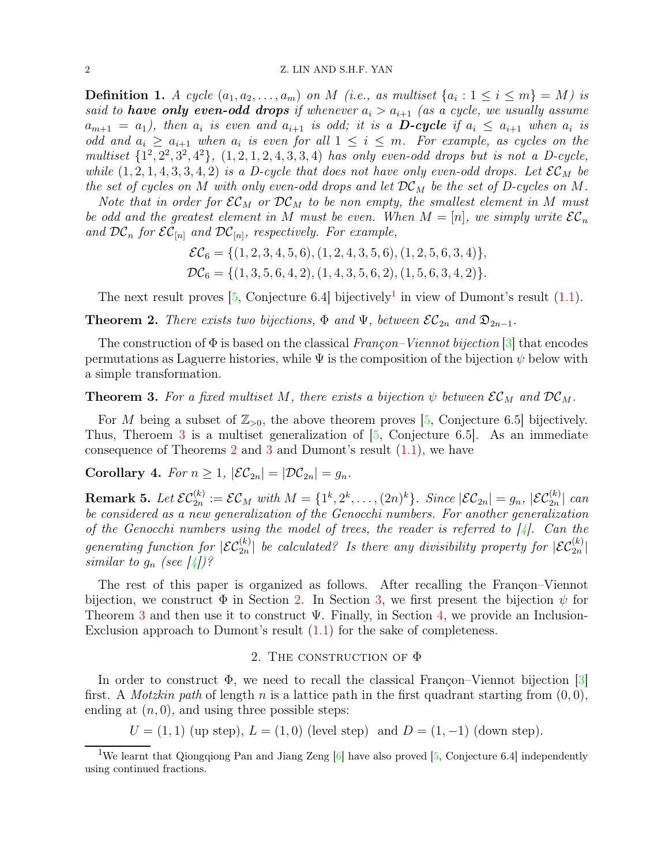#### <span id="page-1-4"></span>2 Z. LIN AND S.H.F. YAN

**Definition 1.** A cycle  $(a_1, a_2, \ldots, a_m)$  on M (i.e., as multiset  $\{a_i : 1 \le i \le m\} = M$ ) is said to **have only even-odd drops** if whenever  $a_i > a_{i+1}$  (as a cycle, we usually assume  $a_{m+1} = a_1$ ), then  $a_i$  is even and  $a_{i+1}$  is odd; it is a **D-cycle** if  $a_i \le a_{i+1}$  when  $a_i$  is odd and  $a_i \ge a_{i+1}$  when  $a_i$  is even for all  $1 \le i \le m$ . For example, as cycles on the multiset  $\{1^2, 2^2, 3^2, 4^2\}$ ,  $(1, 2, 1, 2, 4, 3, 3, 4)$  has only even-odd drops but is not a D-cycle, while  $(1, 2, 1, 4, 3, 3, 4, 2)$  is a D-cycle that does not have only even-odd drops. Let  $\mathcal{EC}_M$  be the set of cycles on M with only even-odd drops and let  $DC_M$  be the set of D-cycles on M.

Note that in order for  $\mathcal{EC}_M$  or  $\mathcal{DC}_M$  to be non empty, the smallest element in M must be odd and the greatest element in M must be even. When  $M = [n]$ , we simply write  $\mathcal{EC}_n$ and  $DC_n$  for  $\mathcal{EC}_{[n]}$  and  $DC_{[n]}$ , respectively. For example,

$$
\mathcal{EC}_6 = \{ (1, 2, 3, 4, 5, 6), (1, 2, 4, 3, 5, 6), (1, 2, 5, 6, 3, 4) \},\n\mathcal{DC}_6 = \{ (1, 3, 5, 6, 4, 2), (1, 4, 3, 5, 6, 2), (1, 5, 6, 3, 4, 2) \}.
$$

The next result proves  $[5, \text{Conjecture } 6.4]$  bijectively<sup>[1](#page-1-0)</sup> in view of Dumont's result  $(1.1)$ .

<span id="page-1-2"></span>**Theorem 2.** There exists two bijections,  $\Phi$  and  $\Psi$ , between  $\mathcal{EC}_{2n}$  and  $\mathfrak{D}_{2n-1}$ .

The construction of  $\Phi$  is based on the classical Francon–Viennot bijection [\[3\]](#page-6-2) that encodes permutations as Laguerre histories, while  $\Psi$  is the composition of the bijection  $\psi$  below with a simple transformation.

<span id="page-1-1"></span>**Theorem 3.** For a fixed multiset M, there exists a bijection  $\psi$  between  $\mathcal{EC}_M$  and  $\mathcal{DC}_M$ .

For M being a subset of  $\mathbb{Z}_{>0}$ , the above theorem proves [\[5,](#page-6-1) Conjecture 6.5] bijectively. Thus, Theroem [3](#page-1-1) is a multiset generalization of [\[5,](#page-6-1) Conjecture 6.5]. As an immediate consequence of Theorems [2](#page-1-2) and [3](#page-1-1) and Dumont's result [\(1.1\)](#page-0-0), we have

# Corollary 4. For  $n \geq 1$ ,  $|\mathcal{EC}_{2n}| = |\mathcal{DC}_{2n}| = g_n$ .

Remark 5. Let  $\mathcal{EC}_{2n}^{(k)} := \mathcal{EC}_M$  with  $M = \{1^k, 2^k, \ldots, (2n)^k\}$ . Since  $|\mathcal{EC}_{2n}| = g_n$ ,  $|\mathcal{EC}_{2n}^{(k)}|$  can be considered as a new generalization of the Genocchi numbers. For another generalization of the Genocchi numbers using the model of trees, the reader is referred to  $\frac{1}{4}$ . Can the generating function for  $|\mathcal{EC}_{2n}^{(k)}|$  be calculated? Is there any divisibility property for  $|\mathcal{EC}_{2n}^{(k)}|$ similar to  $g_n$  (see [\[4\]](#page-6-3))?

The rest of this paper is organized as follows. After recalling the Françon–Viennot bijection, we construct  $\Phi$  in Section [2.](#page-1-3) In Section [3,](#page-4-0) we first present the bijection  $\psi$  for Theorem [3](#page-1-1) and then use it to construct  $\Psi$ . Finally, in Section [4,](#page-5-0) we provide an Inclusion-Exclusion approach to Dumont's result [\(1.1\)](#page-0-0) for the sake of completeness.

### 2. THE CONSTRUCTION OF  $\Phi$

<span id="page-1-3"></span>In order to construct  $\Phi$ , we need to recall the classical Françon–Viennot bijection [\[3\]](#page-6-2) first. A *Motzkin path* of length n is a lattice path in the first quadrant starting from  $(0, 0)$ , ending at  $(n, 0)$ , and using three possible steps:

 $U = (1, 1)$  (up step),  $L = (1, 0)$  (level step) and  $D = (1, -1)$  (down step).

<span id="page-1-0"></span><sup>&</sup>lt;sup>1</sup>We learnt that Qiongqiong Pan and Jiang Zeng  $[6]$  have also proved  $[5,$  Conjecture 6.4] independently using continued fractions.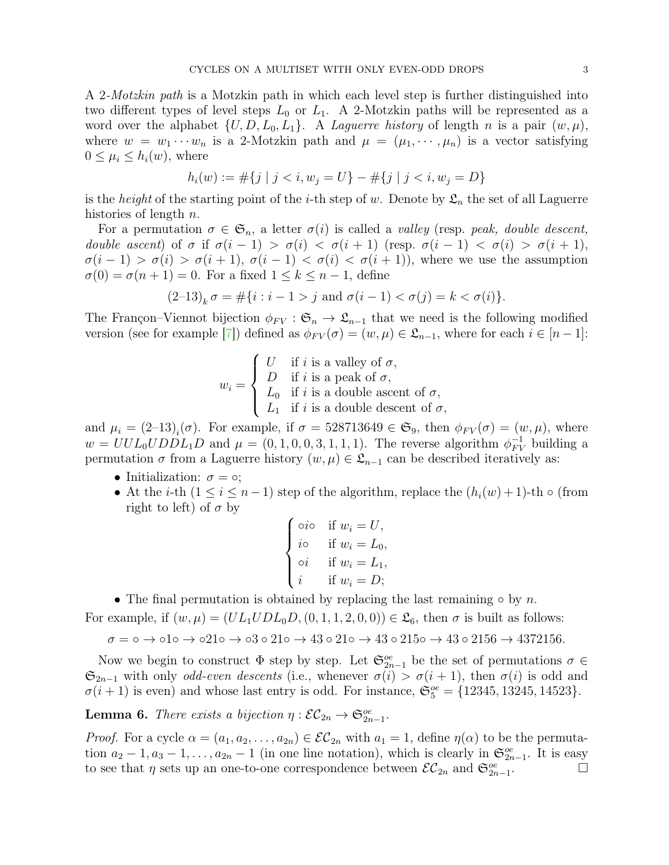<span id="page-2-1"></span>A 2-Motzkin path is a Motzkin path in which each level step is further distinguished into two different types of level steps  $L_0$  or  $L_1$ . A 2-Motzkin paths will be represented as a word over the alphabet  $\{U, D, L_0, L_1\}$ . A *Laguerre history* of length *n* is a pair  $(w, \mu)$ , where  $w = w_1 \cdots w_n$  is a 2-Motzkin path and  $\mu = (\mu_1, \dots, \mu_n)$  is a vector satisfying  $0 \leq \mu_i \leq h_i(w)$ , where

$$
h_i(w) := \#\{j \mid j < i, w_j = U\} - \#\{j \mid j < i, w_j = D\}
$$

is the *height* of the starting point of the *i*-th step of w. Denote by  $\mathfrak{L}_n$  the set of all Laguerre histories of length  $n$ .

For a permutation  $\sigma \in \mathfrak{S}_n$ , a letter  $\sigma(i)$  is called a valley (resp. peak, double descent, double ascent) of  $\sigma$  if  $\sigma(i-1) > \sigma(i) < \sigma(i+1)$  (resp.  $\sigma(i-1) < \sigma(i) > \sigma(i+1)$ ,  $\sigma(i-1) > \sigma(i) > \sigma(i+1), \sigma(i-1) < \sigma(i) < \sigma(i+1)$ , where we use the assumption  $\sigma(0) = \sigma(n+1) = 0$ . For a fixed  $1 \leq k \leq n-1$ , define

$$
(2-13)_k \sigma = \#\{i : i-1 > j \text{ and } \sigma(i-1) < \sigma(j) = k < \sigma(i)\}.
$$

The Françon–Viennot bijection  $\phi_{FV} : \mathfrak{S}_n \to \mathfrak{L}_{n-1}$  that we need is the following modified version (see for example [\[7\]](#page-6-5)) defined as  $\phi_{FV}(\sigma) = (w, \mu) \in \mathfrak{L}_{n-1}$ , where for each  $i \in [n-1]$ :

$$
w_i = \begin{cases} U & \text{if } i \text{ is a valley of } \sigma, \\ D & \text{if } i \text{ is a peak of } \sigma, \\ L_0 & \text{if } i \text{ is a double ascent of } \sigma, \\ L_1 & \text{if } i \text{ is a double descent of } \sigma, \end{cases}
$$

and  $\mu_i = (2-13)_i(\sigma)$ . For example, if  $\sigma = 528713649 \in \mathfrak{S}_9$ , then  $\phi_{FV}(\sigma) = (w, \mu)$ , where  $w = UUL_0UDDL_1D$  and  $\mu = (0, 1, 0, 0, 3, 1, 1, 1)$ . The reverse algorithm  $\phi_{FV}^{-1}$  building a permutation  $\sigma$  from a Laguerre history  $(w, \mu) \in \mathfrak{L}_{n-1}$  can be described iteratively as:

- Initialization:  $\sigma = \circ;$
- At the *i*-th  $(1 \le i \le n-1)$  step of the algorithm, replace the  $(h_i(w) + 1)$ -th  $\circ$  (from right to left) of  $\sigma$  by

$$
\begin{cases}\n\circ i\circ & \text{if } w_i = U, \\
i\circ & \text{if } w_i = L_0, \\
\circ i & \text{if } w_i = L_1, \\
i & \text{if } w_i = D;\n\end{cases}
$$

• The final permutation is obtained by replacing the last remaining  $\circ$  by n.

For example, if  $(w, \mu) = (UL_1 U D L_0 D, (0, 1, 1, 2, 0, 0)) \in \mathfrak{L}_6$ , then  $\sigma$  is built as follows:

 $\sigma = \circ \to \circ 1 \circ \to \circ 21 \circ \to \circ 3 \circ 21 \circ \to 43 \circ 21 \circ \to 43 \circ 215 \circ \to 43 \circ 215 \circ \to 437215 \circ.$ 

Now we begin to construct  $\Phi$  step by step. Let  $\mathfrak{S}_{2n-1}^{oe}$  be the set of permutations  $\sigma \in$  $\mathfrak{S}_{2n-1}$  with only *odd-even descents* (i.e., whenever  $\sigma(i) > \sigma(i+1)$ , then  $\sigma(i)$  is odd and  $\sigma(i+1)$  is even) and whose last entry is odd. For instance,  $\mathfrak{S}_5^{oe} = \{12345, 13245, 14523\}.$ 

<span id="page-2-0"></span>**Lemma 6.** There exists a bijection  $\eta : \mathcal{EC}_{2n} \to \mathfrak{S}_{2n-1}^{oe}$ .

*Proof.* For a cycle  $\alpha = (a_1, a_2, \ldots, a_{2n}) \in \mathcal{EC}_{2n}$  with  $a_1 = 1$ , define  $\eta(\alpha)$  to be the permutation  $a_2 - 1, a_3 - 1, \ldots, a_{2n} - 1$  (in one line notation), which is clearly in  $\mathfrak{S}_{2n-1}^{oe}$ . It is easy to see that  $\eta$  sets up an one-to-one correspondence between  $\mathcal{EC}_{2n}$  and  $\mathfrak{S}_{2n-1}^{oe}$  $\overline{\phantom{a}}$ .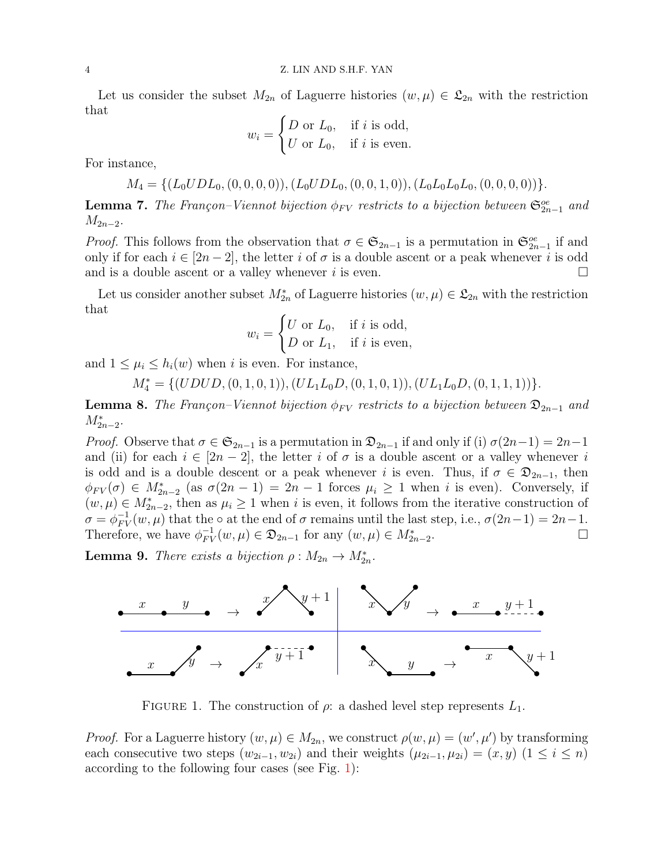Let us consider the subset  $M_{2n}$  of Laguerre histories  $(w, \mu) \in \mathfrak{L}_{2n}$  with the restriction that

$$
w_i = \begin{cases} D \text{ or } L_0, & \text{if } i \text{ is odd,} \\ U \text{ or } L_0, & \text{if } i \text{ is even.} \end{cases}
$$

For instance,

$$
M_4 = \{ (L_0 U D L_0, (0,0,0,0)), (L_0 U D L_0, (0,0,1,0)), (L_0 L_0 L_0 L_0, (0,0,0,0)) \}.
$$

<span id="page-3-1"></span>**Lemma 7.** The Françon–Viennot bijection  $\phi_{FV}$  restricts to a bijection between  $\mathfrak{S}_{2n-1}^{oe}$  and  $M_{2n-2}$ .

*Proof.* This follows from the observation that  $\sigma \in \mathfrak{S}_{2n-1}$  is a permutation in  $\mathfrak{S}_{2n-1}^{oe}$  if and only if for each  $i \in [2n-2]$ , the letter i of  $\sigma$  is a double ascent or a peak whenever i is odd and is a double ascent or a valley whenever i is even.

Let us consider another subset  $M_{2n}^*$  of Laguerre histories  $(w, \mu) \in \mathfrak{L}_{2n}$  with the restriction that

$$
w_i = \begin{cases} U \text{ or } L_0, & \text{if } i \text{ is odd,} \\ D \text{ or } L_1, & \text{if } i \text{ is even,} \end{cases}
$$

and  $1 \leq \mu_i \leq h_i(w)$  when i is even. For instance,

 $M_4^* = \{(UDUD, (0, 1, 0, 1)), (UL_1L_0D, (0, 1, 0, 1)), (UL_1L_0D, (0, 1, 1, 1))\}.$ 

<span id="page-3-2"></span>**Lemma 8.** The Françon–Viennot bijection  $\phi_{FV}$  restricts to a bijection between  $\mathfrak{D}_{2n-1}$  and  $M^*_{2n-2}$ .

*Proof.* Observe that  $\sigma \in \mathfrak{S}_{2n-1}$  is a permutation in  $\mathfrak{D}_{2n-1}$  if and only if (i)  $\sigma(2n-1) = 2n-1$ and (ii) for each  $i \in [2n-2]$ , the letter i of  $\sigma$  is a double ascent or a valley whenever i is odd and is a double descent or a peak whenever i is even. Thus, if  $\sigma \in \mathfrak{D}_{2n-1}$ , then  $\phi_{FV}(\sigma) \in M^*_{2n-2}$  (as  $\sigma(2n-1) = 2n-1$  forces  $\mu_i \geq 1$  when i is even). Conversely, if  $(w, \mu) \in M^*_{2n-2}$ , then as  $\mu_i \geq 1$  when i is even, it follows from the iterative construction of  $\sigma = \phi_{FV}^{-1}(w, \mu)$  that the  $\circ$  at the end of  $\sigma$  remains until the last step, i.e.,  $\sigma(2n-1) = 2n-1$ . Therefore, we have  $\phi_{FV}^{-1}(w,\mu) \in \mathfrak{D}_{2n-1}$  for any  $(w,\mu) \in M^*_{2n-2}$ .

<span id="page-3-3"></span>**Lemma 9.** There exists a bijection  $\rho : M_{2n} \to M_{2n}^*$ .



<span id="page-3-0"></span>FIGURE 1. The construction of  $\rho$ : a dashed level step represents  $L_1$ .

*Proof.* For a Laguerre history  $(w, \mu) \in M_{2n}$ , we construct  $\rho(w, \mu) = (w', \mu')$  by transforming each consecutive two steps  $(w_{2i-1}, w_{2i})$  and their weights  $(\mu_{2i-1}, \mu_{2i}) = (x, y)$   $(1 \le i \le n)$ according to the following four cases (see Fig. [1\)](#page-3-0):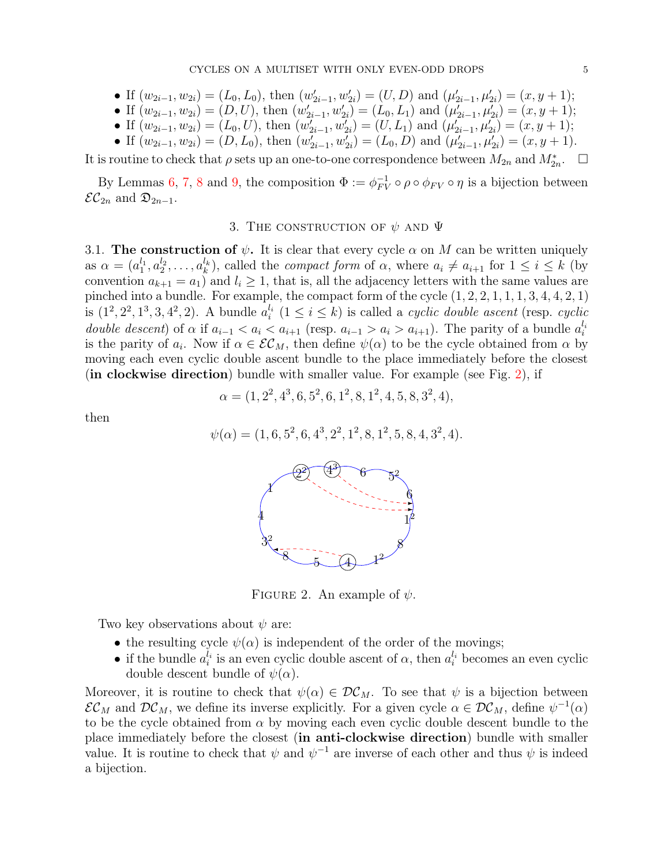- If  $(w_{2i-1}, w_{2i}) = (L_0, L_0)$ , then  $(w'_{2i-1}, w'_{2i}) = (U, D)$  and  $(\mu'_{2i-1}, \mu'_{2i}) = (x, y + 1)$ ;
- If  $(w_{2i-1}, w_{2i}) = (D, U)$ , then  $(w'_{2i-1}, w'_{2i}) = (L_0, L_1)$  and  $(\mu'_{2i-1}, \mu'_{2i}) = (x, y + 1)$ ;
- If  $(w_{2i-1}, w_{2i}) = (L_0, U)$ , then  $(w'_{2i-1}, w'_{2i}) = (U, L_1)$  and  $(\mu'_{2i-1}, \mu'_{2i}) = (x, y + 1)$ ;
- If  $(w_{2i-1}, w_{2i}) = (D, L_0)$ , then  $(w'_{2i-1}, w'_{2i}) = (L_0, D)$  and  $(\mu'_{2i-1}, \mu'_{2i}) = (x, y + 1)$ .

It is routine to check that  $\rho$  sets up an one-to-one correspondence between  $M_{2n}$  and  $M_{2n}^*$ .  $\Box$ 

<span id="page-4-0"></span>By Lemmas [6,](#page-2-0) [7,](#page-3-1) [8](#page-3-2) and [9,](#page-3-3) the composition  $\Phi := \phi_{FV}^{-1} \circ \rho \circ \phi_{FV} \circ \eta$  is a bijection between  $\mathcal{EC}_{2n}$  and  $\mathfrak{D}_{2n-1}$ .

## 3. THE CONSTRUCTION OF  $\psi$  and  $\Psi$

3.1. The construction of  $\psi$ . It is clear that every cycle  $\alpha$  on M can be written uniquely as  $\alpha = (a_1^{l_1})$  $a_1^{l_1}, a_2^{l_2}, \ldots, a_k^{l_k}$  $\binom{l_k}{k}$ , called the *compact form* of  $\alpha$ , where  $a_i \neq a_{i+1}$  for  $1 \leq i \leq k$  (by convention  $a_{k+1} = a_1$  and  $l_i \geq 1$ , that is, all the adjacency letters with the same values are pinched into a bundle. For example, the compact form of the cycle  $(1, 2, 2, 1, 1, 1, 3, 4, 4, 2, 1)$ is  $(1^2, 2^2, 1^3, 3, 4^2, 2)$ . A bundle  $a_i^{l_i}$  $i_i^{l_i}$   $(1 \leq i \leq k)$  is called a *cyclic double ascent* (resp. *cyclic* double descent) of  $\alpha$  if  $a_{i-1} < a_i < a_{i+1}$  (resp.  $a_{i-1} > a_i > a_{i+1}$ ). The parity of a bundle  $a_i^{l_i}$ i is the parity of  $a_i$ . Now if  $\alpha \in \mathcal{EC}_M$ , then define  $\psi(\alpha)$  to be the cycle obtained from  $\alpha$  by moving each even cyclic double ascent bundle to the place immediately before the closest (in clockwise direction) bundle with smaller value. For example (see Fig. [2\)](#page-4-1), if

$$
\alpha = (1, 2^2, 4^3, 6, 5^2, 6, 1^2, 8, 1^2, 4, 5, 8, 3^2, 4),
$$

then

$$
\psi(\alpha) = (1, 6, 5^2, 6, 4^3, 2^2, 1^2, 8, 1^2, 5, 8, 4, 3^2, 4).
$$



<span id="page-4-1"></span>FIGURE 2. An example of  $\psi$ .

Two key observations about  $\psi$  are:

- the resulting cycle  $\psi(\alpha)$  is independent of the order of the movings;
- if the bundle  $a_i^{l_i}$  $a_i^{l_i}$  is an even cyclic double ascent of  $\alpha$ , then  $a_i^{l_i}$  becomes an even cyclic double descent bundle of  $\psi(\alpha)$ .

Moreover, it is routine to check that  $\psi(\alpha) \in \mathcal{DC}_M$ . To see that  $\psi$  is a bijection between  $\mathcal{EC}_M$  and  $\mathcal{DC}_M$ , we define its inverse explicitly. For a given cycle  $\alpha \in \mathcal{DC}_M$ , define  $\psi^{-1}(\alpha)$ to be the cycle obtained from  $\alpha$  by moving each even cyclic double descent bundle to the place immediately before the closest (in anti-clockwise direction) bundle with smaller value. It is routine to check that  $\psi$  and  $\psi^{-1}$  are inverse of each other and thus  $\psi$  is indeed a bijection.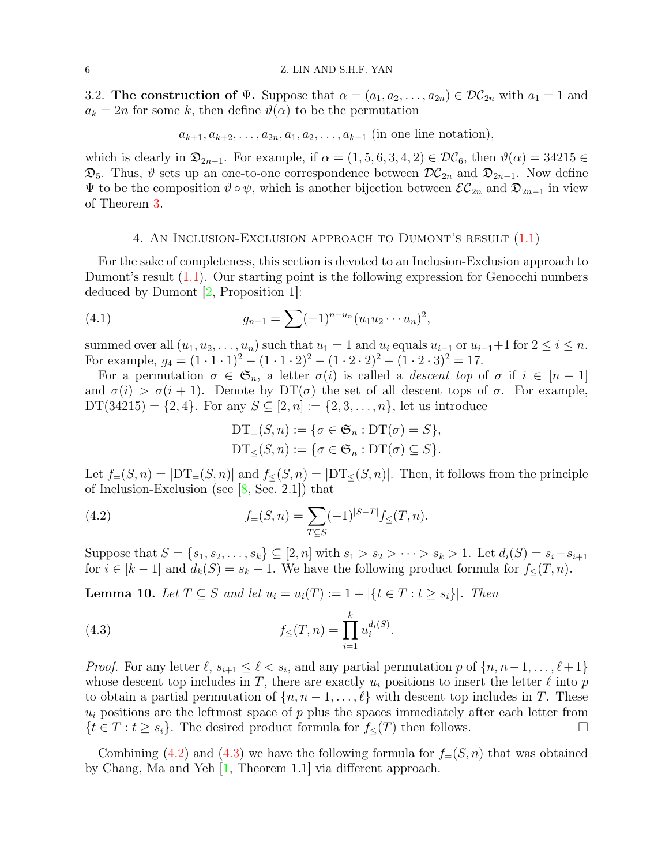<span id="page-5-4"></span>3.2. The construction of  $\Psi$ . Suppose that  $\alpha = (a_1, a_2, \ldots, a_{2n}) \in \mathcal{DC}_{2n}$  with  $a_1 = 1$  and  $a_k = 2n$  for some k, then define  $\vartheta(\alpha)$  to be the permutation

$$
a_{k+1}, a_{k+2}, \ldots, a_{2n}, a_1, a_2, \ldots, a_{k-1}
$$
 (in one line notation),

which is clearly in  $\mathfrak{D}_{2n-1}$ . For example, if  $\alpha = (1, 5, 6, 3, 4, 2) \in \mathcal{DC}_6$ , then  $\vartheta(\alpha) = 34215 \in$  $\mathfrak{D}_5$ . Thus,  $\vartheta$  sets up an one-to-one correspondence between  $\mathcal{DC}_{2n}$  and  $\mathfrak{D}_{2n-1}$ . Now define  $\Psi$  to be the composition θ∘ ψ, which is another bijection between  $\mathcal{EC}_{2n}$  and  $\mathfrak{D}_{2n-1}$  in view of Theorem [3.](#page-1-1)

#### 4. An Inclusion-Exclusion approach to Dumont's result [\(1.1\)](#page-0-0)

<span id="page-5-0"></span>For the sake of completeness, this section is devoted to an Inclusion-Exclusion approach to Dumont's result [\(1.1\)](#page-0-0). Our starting point is the following expression for Genocchi numbers deduced by Dumont [\[2,](#page-6-0) Proposition 1]:

(4.1) 
$$
g_{n+1} = \sum (-1)^{n-u_n} (u_1 u_2 \cdots u_n)^2,
$$

summed over all  $(u_1, u_2, \ldots, u_n)$  such that  $u_1 = 1$  and  $u_i$  equals  $u_{i-1}$  or  $u_{i-1}+1$  for  $2 \le i \le n$ . For example,  $g_4 = (1 \cdot 1 \cdot 1)^2 - (1 \cdot 1 \cdot 2)^2 - (1 \cdot 2 \cdot 2)^2 + (1 \cdot 2 \cdot 3)^2 = 17$ .

For a permutation  $\sigma \in \mathfrak{S}_n$ , a letter  $\sigma(i)$  is called a *descent top* of  $\sigma$  if  $i \in [n-1]$ and  $\sigma(i) > \sigma(i+1)$ . Denote by  $DT(\sigma)$  the set of all descent tops of  $\sigma$ . For example,  $DT(34215) = \{2, 4\}$ . For any  $S \subseteq [2, n] := \{2, 3, ..., n\}$ , let us introduce

<span id="page-5-3"></span><span id="page-5-1"></span>
$$
DT_{=}(S,n) := \{ \sigma \in \mathfrak{S}_n : DT(\sigma) = S \},
$$
  

$$
DT_{\leq}(S,n) := \{ \sigma \in \mathfrak{S}_n : DT(\sigma) \subseteq S \}.
$$

Let  $f=(S, n) = |DT_{=}(S, n)|$  and  $f<(S, n) = |DT_{<}(S, n)|$ . Then, it follows from the principle of Inclusion-Exclusion (see [\[8,](#page-6-6) Sec. 2.1]) that

(4.2) 
$$
f_{=}(S,n) = \sum_{T \subseteq S} (-1)^{|S-T|} f_{\leq}(T,n).
$$

Suppose that  $S = \{s_1, s_2, \ldots, s_k\} \subseteq [2, n]$  with  $s_1 > s_2 > \cdots > s_k > 1$ . Let  $d_i(S) = s_i - s_{i+1}$ for  $i \in [k-1]$  and  $d_k(S) = s_k - 1$ . We have the following product formula for  $f_{\leq}(T, n)$ .

**Lemma 10.** Let  $T \subseteq S$  and let  $u_i = u_i(T) := 1 + |\{t \in T : t \geq s_i\}|$ . Then

<span id="page-5-2"></span>(4.3) 
$$
f_{\leq}(T,n) = \prod_{i=1}^{k} u_i^{d_i(S)}.
$$

*Proof.* For any letter  $\ell$ ,  $s_{i+1} \leq \ell < s_i$ , and any partial permutation p of  $\{n, n-1, \ldots, \ell+1\}$ whose descent top includes in T, there are exactly  $u_i$  positions to insert the letter  $\ell$  into p to obtain a partial permutation of  $\{n, n-1, \ldots, \ell\}$  with descent top includes in T. These  $u_i$  positions are the leftmost space of p plus the spaces immediately after each letter from  $\{t \in T : t \geq s_i\}.$  The desired product formula for  $f_<(T)$  then follows.

Combining [\(4.2\)](#page-5-1) and [\(4.3\)](#page-5-2) we have the following formula for  $f_=(S, n)$  that was obtained by Chang, Ma and Yeh [\[1,](#page-6-7) Theorem 1.1] via different approach.